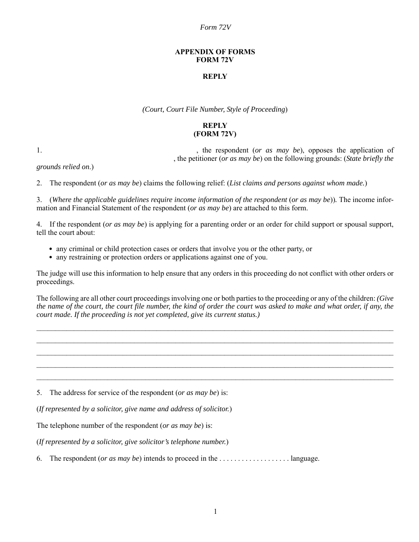### *Form 72V*

### **APPENDIX OF FORMS FORM 72V**

# **REPLY**

*(Court, Court File Number, Style of Proceeding*)

# **REPLY (FORM 72V)**

1. the respondent (*or as may be*), opposes the application of , the petitioner (*or as may be*) on the following grounds: (*State briefly the*

*grounds relied on*.)

2. The respondent (*or as may be*) claims the following relief: (*List claims and persons against whom made.*)

3. (*Where the applicable guidelines require income information of the respondent* (*or as may be*))*.* The income information and Financial Statement of the respondent (*or as may be*) are attached to this form.

4. If the respondent (*or as may be*) is applying for a parenting order or an order for child support or spousal support, tell the court about:

- any criminal or child protection cases or orders that involve you or the other party, or
- any restraining or protection orders or applications against one of you.

The judge will use this information to help ensure that any orders in this proceeding do not conflict with other orders or proceedings.

The following are all other court proceedings involving one or both parties to the proceeding or any of the children: *(Give the name of the court, the court file number, the kind of order the court was asked to make and what order, if any, the court made. If the proceeding is not yet completed, give its current status.)*

 $\mathcal{L}_\mathcal{L} = \mathcal{L}_\mathcal{L} = \mathcal{L}_\mathcal{L} = \mathcal{L}_\mathcal{L} = \mathcal{L}_\mathcal{L} = \mathcal{L}_\mathcal{L} = \mathcal{L}_\mathcal{L} = \mathcal{L}_\mathcal{L} = \mathcal{L}_\mathcal{L} = \mathcal{L}_\mathcal{L} = \mathcal{L}_\mathcal{L} = \mathcal{L}_\mathcal{L} = \mathcal{L}_\mathcal{L} = \mathcal{L}_\mathcal{L} = \mathcal{L}_\mathcal{L} = \mathcal{L}_\mathcal{L} = \mathcal{L}_\mathcal{L}$  $\mathcal{L}_\mathcal{L} = \mathcal{L}_\mathcal{L} = \mathcal{L}_\mathcal{L} = \mathcal{L}_\mathcal{L} = \mathcal{L}_\mathcal{L} = \mathcal{L}_\mathcal{L} = \mathcal{L}_\mathcal{L} = \mathcal{L}_\mathcal{L} = \mathcal{L}_\mathcal{L} = \mathcal{L}_\mathcal{L} = \mathcal{L}_\mathcal{L} = \mathcal{L}_\mathcal{L} = \mathcal{L}_\mathcal{L} = \mathcal{L}_\mathcal{L} = \mathcal{L}_\mathcal{L} = \mathcal{L}_\mathcal{L} = \mathcal{L}_\mathcal{L}$  $\mathcal{L}_\mathcal{L} = \mathcal{L}_\mathcal{L} = \mathcal{L}_\mathcal{L} = \mathcal{L}_\mathcal{L} = \mathcal{L}_\mathcal{L} = \mathcal{L}_\mathcal{L} = \mathcal{L}_\mathcal{L} = \mathcal{L}_\mathcal{L} = \mathcal{L}_\mathcal{L} = \mathcal{L}_\mathcal{L} = \mathcal{L}_\mathcal{L} = \mathcal{L}_\mathcal{L} = \mathcal{L}_\mathcal{L} = \mathcal{L}_\mathcal{L} = \mathcal{L}_\mathcal{L} = \mathcal{L}_\mathcal{L} = \mathcal{L}_\mathcal{L}$  $\mathcal{L}_\mathcal{L} = \mathcal{L}_\mathcal{L} = \mathcal{L}_\mathcal{L} = \mathcal{L}_\mathcal{L} = \mathcal{L}_\mathcal{L} = \mathcal{L}_\mathcal{L} = \mathcal{L}_\mathcal{L} = \mathcal{L}_\mathcal{L} = \mathcal{L}_\mathcal{L} = \mathcal{L}_\mathcal{L} = \mathcal{L}_\mathcal{L} = \mathcal{L}_\mathcal{L} = \mathcal{L}_\mathcal{L} = \mathcal{L}_\mathcal{L} = \mathcal{L}_\mathcal{L} = \mathcal{L}_\mathcal{L} = \mathcal{L}_\mathcal{L}$  $\mathcal{L}_\mathcal{L} = \mathcal{L}_\mathcal{L} = \mathcal{L}_\mathcal{L} = \mathcal{L}_\mathcal{L} = \mathcal{L}_\mathcal{L} = \mathcal{L}_\mathcal{L} = \mathcal{L}_\mathcal{L} = \mathcal{L}_\mathcal{L} = \mathcal{L}_\mathcal{L} = \mathcal{L}_\mathcal{L} = \mathcal{L}_\mathcal{L} = \mathcal{L}_\mathcal{L} = \mathcal{L}_\mathcal{L} = \mathcal{L}_\mathcal{L} = \mathcal{L}_\mathcal{L} = \mathcal{L}_\mathcal{L} = \mathcal{L}_\mathcal{L}$ 

5. The address for service of the respondent (*or as may be*) is:

(*If represented by a solicitor, give name and address of solicitor.*)

The telephone number of the respondent (*or as may be*) is:

(*If represented by a solicitor, give solicitor's telephone number.*)

6. The respondent (*or as may be*) intends to proceed in the . . . . . . . . . . . . . . . . . . . language.